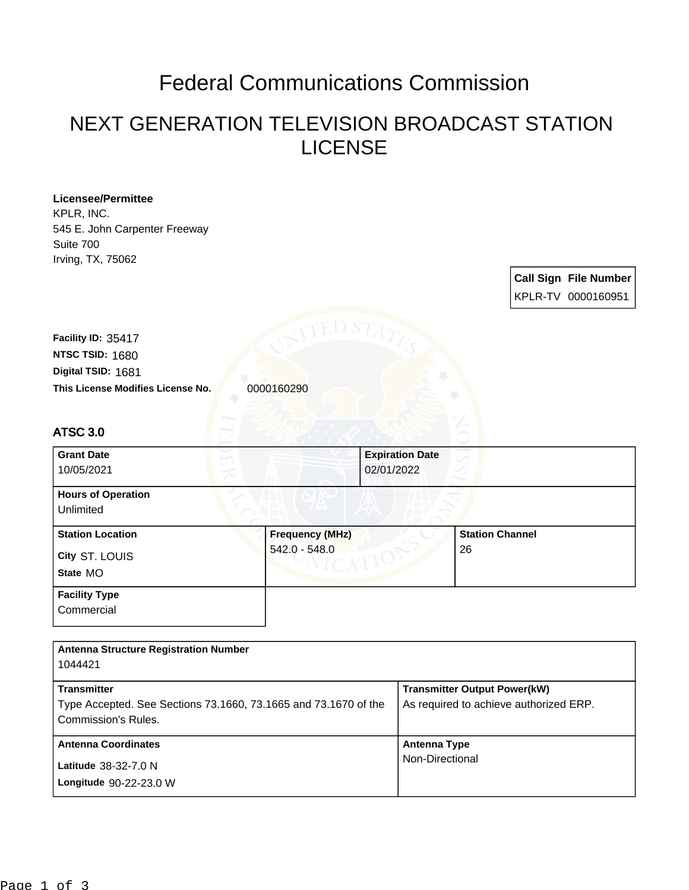## Federal Communications Commission

## NEXT GENERATION TELEVISION BROADCAST STATION LICENSE

| <b>Licensee/Permittee</b><br>KPLR, INC.<br>545 E. John Carpenter Freeway<br>Suite 700<br>Irving, TX, 75062 |                        |                        |                                        |  |                              |
|------------------------------------------------------------------------------------------------------------|------------------------|------------------------|----------------------------------------|--|------------------------------|
|                                                                                                            |                        |                        |                                        |  | <b>Call Sign File Number</b> |
|                                                                                                            |                        |                        |                                        |  | KPLR-TV 0000160951           |
| Facility ID: 35417                                                                                         |                        |                        |                                        |  |                              |
| NTSC TSID: 1680                                                                                            |                        |                        |                                        |  |                              |
| Digital TSID: 1681                                                                                         |                        |                        |                                        |  |                              |
| This License Modifies License No.                                                                          | 0000160290             |                        |                                        |  |                              |
|                                                                                                            |                        |                        |                                        |  |                              |
| ATSC 3.0                                                                                                   |                        |                        |                                        |  |                              |
| <b>Grant Date</b>                                                                                          |                        | <b>Expiration Date</b> |                                        |  |                              |
| 10/05/2021                                                                                                 |                        | 02/01/2022             |                                        |  |                              |
| <b>Hours of Operation</b><br>Unlimited                                                                     |                        |                        |                                        |  |                              |
| <b>Station Location</b>                                                                                    | <b>Frequency (MHz)</b> |                        | <b>Station Channel</b><br>26           |  |                              |
| City ST. LOUIS                                                                                             | 542.0 - 548.0          |                        |                                        |  |                              |
| State MO                                                                                                   |                        |                        |                                        |  |                              |
| <b>Facility Type</b>                                                                                       |                        |                        |                                        |  |                              |
| Commercial                                                                                                 |                        |                        |                                        |  |                              |
|                                                                                                            |                        |                        |                                        |  |                              |
| <b>Antenna Structure Registration Number</b><br>1044421                                                    |                        |                        |                                        |  |                              |
| <b>Transmitter</b>                                                                                         |                        |                        | <b>Transmitter Output Power(kW)</b>    |  |                              |
| Type Accepted. See Sections 73.1660, 73.1665 and 73.1670 of the                                            |                        |                        | As required to achieve authorized ERP. |  |                              |
| Commission's Rules.                                                                                        |                        |                        |                                        |  |                              |
| <b>Antenna Coordinates</b>                                                                                 |                        | <b>Antenna Type</b>    |                                        |  |                              |
| Latitude 38-32-7.0 N                                                                                       |                        |                        | Non-Directional                        |  |                              |
| Longitude 90-22-23.0 W                                                                                     |                        |                        |                                        |  |                              |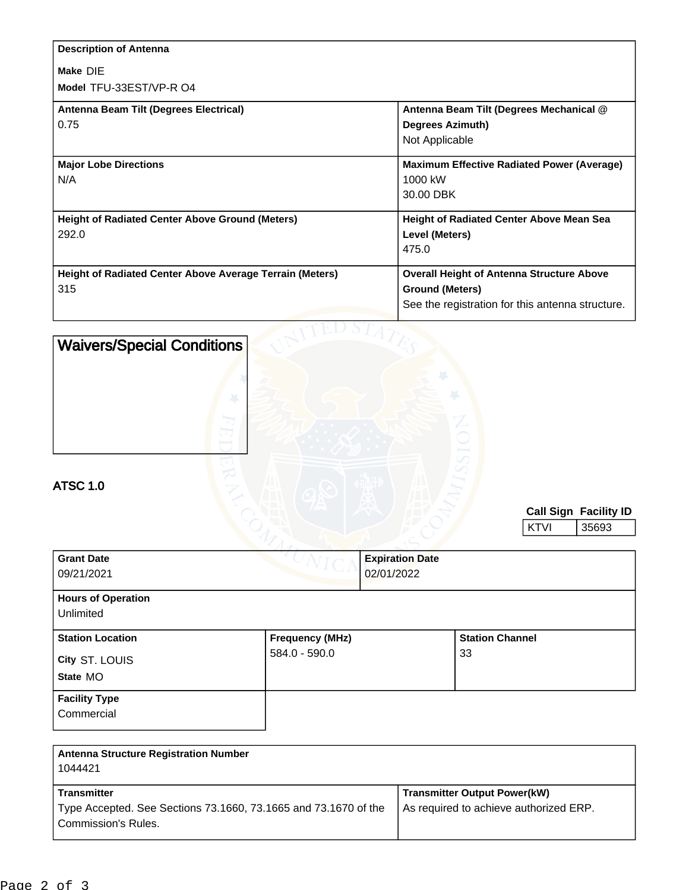| <b>Description of Antenna</b>                            |                                                   |
|----------------------------------------------------------|---------------------------------------------------|
| Make DIE                                                 |                                                   |
| Model TFU-33EST/VP-R O4                                  |                                                   |
| Antenna Beam Tilt (Degrees Electrical)                   | Antenna Beam Tilt (Degrees Mechanical @           |
| 0.75                                                     | <b>Degrees Azimuth)</b>                           |
|                                                          | Not Applicable                                    |
| <b>Major Lobe Directions</b>                             | <b>Maximum Effective Radiated Power (Average)</b> |
| N/A                                                      | 1000 kW                                           |
|                                                          | 30.00 DBK                                         |
| <b>Height of Radiated Center Above Ground (Meters)</b>   | <b>Height of Radiated Center Above Mean Sea</b>   |
| 292.0                                                    | Level (Meters)                                    |
|                                                          | 475.0                                             |
| Height of Radiated Center Above Average Terrain (Meters) | <b>Overall Height of Antenna Structure Above</b>  |
| 315                                                      | <b>Ground (Meters)</b>                            |
|                                                          | See the registration for this antenna structure.  |
|                                                          |                                                   |

| <b>Waivers/Special Conditions</b><br><b>ATSC 1.0</b> |                        |                                      |                        |             |                                |
|------------------------------------------------------|------------------------|--------------------------------------|------------------------|-------------|--------------------------------|
|                                                      |                        |                                      |                        | <b>KTVI</b> | Call Sign Facility ID<br>35693 |
| <b>Grant Date</b><br>09/21/2021                      |                        | <b>Expiration Date</b><br>02/01/2022 |                        |             |                                |
| <b>Hours of Operation</b><br>Unlimited               |                        |                                      |                        |             |                                |
| <b>Station Location</b>                              | <b>Frequency (MHz)</b> |                                      | <b>Station Channel</b> |             |                                |
| City ST. LOUIS                                       | 584.0 - 590.0          |                                      | 33                     |             |                                |
| State MO                                             |                        |                                      |                        |             |                                |
| <b>Facility Type</b><br>Commercial                   |                        |                                      |                        |             |                                |

| <b>Antenna Structure Registration Number</b><br>1044421                                |                                        |
|----------------------------------------------------------------------------------------|----------------------------------------|
| <b>Transmitter</b>                                                                     | <b>Transmitter Output Power(kW)</b>    |
| Type Accepted. See Sections 73.1660, 73.1665 and 73.1670 of the<br>Commission's Rules. | As required to achieve authorized ERP. |